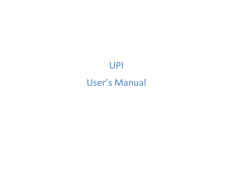# UPI User's Manual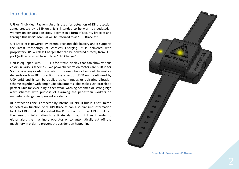## Introduction

UPI or "Individual Pachom Unit" is used for detection of RF protection zones created by UBEP unit. It is intended to be worn by pedestrian workers on construction sites. It comes in a form of security bracelet and through this User's Manual will be referred to as "UPI Bracelet".

UPI Bracelet is powered by internal rechargeable battery and it supports the latest technology of Wireless Charging. It is delivered with proprietary UPI Wireless Charger that can be powered directly from USB port (will be referred to simply as "UPI Charger").

Unit is equipped with RGB LED for Status display that can show various colors in various schemes. Two powerful vibration motors are built in for Status, Warning or Alert execution. The execution scheme of the motors depends on how RF protection zone is setup (UBEP unit configured by UCP unit) and it can be applied as continuous or pulsating vibration scheme together with amplitude adjustments. This makes UPI Bracelet a perfect unit for executing either weak warning schemes or strong high alert schemes with purpose of alarming the pedestrian workers on immediate danger and prevent accidents.

RF protection zone is detected by internal RF circuit but it is not limited to detection function only. UPI Bracelet can also transmit information back to UBEP unit that created the RF protection zone. UBEP unit can then use this information to activate alarm output lines in order to either alert the machinery operator or to automatically cut off the machinery in order to prevent the accident on happening.



**Figure 1: UPI Bracelet and UPI Charger**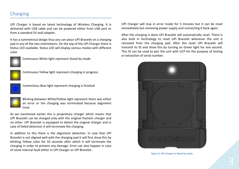# Charging

UPI Charger is based on latest technology of Wireless Charging. It is delivered with USB cable and can be powered either from USB port or from a standard 5V wall adapter.

It has a symmetrical design thus you can place UPI Bracelet on a charging pad in any of the two orientations. On the top of the UPI Charger there is Status LED available. Status LED will display various modes with different color.



Continuous White light represent Stand-by mode



Contentious Blue light represent charging is finished

Continuous Yellow light represent charging in progress



Blinking between White/Yellow light represent there was either an error or the charging was terminated because alignment issue

As we mentioned earlier this is proprietary charger which means that UPI Bracelet can be charged only with the original Pachom charger and no other. UPI Bracelet is equipped to detect the original charger and in case of failed detection it will terminate the charging.

In addition to this there is the alignment detection. In case that UPI Bracelet is not aligned well with the charging pad it will first show this by blinking Yellow color for 10 seconds after which it will terminate the charging in order to prevent any damage. Error can also happen in case of some internal fault either in UPI Charger or UPI Bracelet.

UPI Charger will stay in error mode for 5 minutes but it can be reset immediately but removing power supply and connecting it back again.

After the charging is done UPI Bracelet will automatically reset. There is also built in technology to reset UPI Bracelet whenever the unit is removed from the charging pad. After the reset UPI Bracelet will transmit its ID and show this by turning on Green light for one second. This ID can be used to pair the unit with UCP for the purpose of testing or extraction of serial number.



**Figure 2: UPI Charger in Stand-by mode**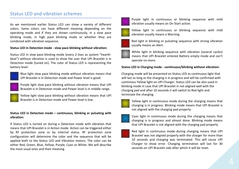## Status LED and vibration schemes

As we mentioned earlier Status LED can show a variety of different colors. Same colors can have different meaning depending on the operating mode and if they are shown continuously, in a slow pace blinking mode, in high pace blinking mode or whether they are combined with vibration sequence.

#### **Status LED in Detection mode - slow pace blinking without vibration:**

Status LED in slow pace blinking mode (every 2-3sec as system "hearthbeat") without vibration is used to show the user that UPI Bracelet is in Detection mode (tuned on). The color of Status LED is representing the battery level.



Blue light slow pace blinking mode without vibration means that UPI Bracelet is in Detection mode and Power level is good.



Purple light slow pace blinking without vibration means that UPI Bracelet is in Detection mode and Power level is in middle range.

Yellow light slow pace blinking without vibration means that UPI Bracelet is in Detection mode and Power level is low.

## **Status LED in Detection mode – continuous, blinking or pulsating with vibration:**

If Status LED is turned on during a Detection mode with vibration that means that UPI Bracelet is in Action mode. Action can be triggered either by RF protection zone or by internal status. RF protection zone configuration will determine the color and the sequence that will be applied both to the Status LED and Vibration motors. The color can be either Red, Green, Blue, Yellow, Purple, Cyan or White. We will describe the most usual ones and their meaning.



Purple light in continuous or blinking sequence with mild vibration usually means an On Start action.



Yellow light in continuous or blinking sequence with mild vibration usually means a Warning.



Red light in blinking or pulsating sequence with strong vibration usually means an Alert.



White light in blinking sequence with vibration (several cycles) means that UPI Bracelet entered Battery empty mode and can't operate no more.

#### **Status LED in Charging mode - continuous/blinking without vibration:**

Charging mode will be presented on Status LED as continuous light that will last as long as the charging is in progress and will be confirmed with continious Yellow light on UPI Charger. Status LED can be also used in blinking mode in case that UPI Bracelet in not aligned well with the charging pad and after 10 seconds it will switch to Red light and terminate the charging.



Yellow light in continuous mode during the charging means that charging is in progress. Blinking mode means that UPI Bracelet is not aligned with the charging pad properly.



Cyan light in continuous mode during the charging means that charging is in progress and almost done. Blinking mode means that UPI Bracelet is not aligned with the charging pad properly.



Red light in continuous mode during charging means that UPI Bracelet was not aligned properly with the charger for more than 10 seconds and charging was terminated. This will cause UPI Charger to show error. Charging termination will last for 30 seconds on UPI Bracelet side after which it will be reset.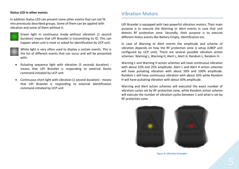#### **Status LED in other events:**

In addition Status LED can present some other events that can not fit into previously described groups. Some of them can be applied with vibration and some of them without it.



Green light in continuous mode without vibration (1 second duration) means that UPI Bracelet is transmitting its ID. This can happen when unit is reset or asked for identification by UCP unit.



White light is very often used to display a certain events. This is the list of different events that can occur and will be presented with:

- • Pulsating sequence light with vibration (5 seconds duration) means that UPI Bracelet is responding to external Demo command initiated by UCP unit
- • Continuous short light with vibration (1 second duration) - means that UPI Bracelet is responding to external Identification command initiated by UCP unit

## Vibration Motors

UPI Bracelet is equipped with two powerful vibration motors. Their main purpose is to execute the Warning or Alert events in case that unit detects RF protection zone. Secondly, their purpose is to execute different Status events like Battery Empty, Identification etc.

In case of Warning or Alert events the amplitude and scheme of vibration depends on how the RF protection zone is setup (UBEP unit configured by UCP unit). There are several possible vibration action schemes: Warning L, Warning H, Alert L, Alert H, Random L, Random H.

Warning L and Warning H action schemes will have continuous vibration with about 10% and 25% amplitude. Alert L and Alert H action schemes will have pulsating vibration with about 50% and 100% amplitude. Random L will have continuous vibration with about 10% while Random H will have pulsating vibration with about 50% amplitude.

Warning and Alert action schemes will executed the exact number of vibration cycles set by RF protection zone, while Random action scheme will execute the number of vibration cycles between 1 and what is set by RF protection zone.



**Figure 3: Vibration Examples**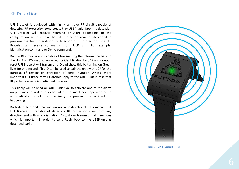## RF Detection

UPI Bracelet is equipped with highly sensitive RF circuit capable of detecting RF protection zone created by UBEP unit. Upon its detection UPI Bracelet will execute Warning or Alert depending on the configuration setup within that RF protection zone as described in previous chapters. In addition to detection of RF protection zone UPI Bracelet can receive commands from UCP unit. For example, Identification command or Demo command.

Built in RF circuit is also capable of transmitting the information back to the UBEP or UCP unit. When asked for identification by UCP unit or upon reset UPI Bracelet will transmit its ID and show this by turning on Green light for one second. This ID can be used to pair the unit with UCP for the purpose of testing or extraction of serial number. What's more important UPI Bracelet will transmit Reply to the UBEP unit in case that RF protection zone is configured to do so.

This Reply will be used on UBEP unit side to activate one of the alarm output lines in order to either alert the machinery operator or to automatically cut of the machinery to prevent the accident on happening.

Both detection and transmission are omnidirectional. This means that UPI Bracelet is capable of detecting RF protection zone from any direction and with any orientation. Also, it can transmit in all directions which is important in order to send Reply back to the UBEP unit as described earlier.



 **Figure 4: UPI Bracelet RF Field**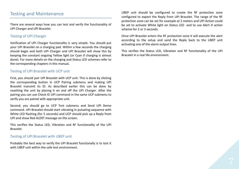# Testing and Maintenance

There are several ways how you can test and verify the functionality of UPI Charger and UPI Bracelet.

## Testing of UPI Charger

Verification of UPI Charger functionality is very simple. You should put your UPI Bracelet on a charging pad. Within a few seconds the charging should begin and both UPI Charger and UPI Bracelet will show this by keeping the constant ongoing Yellow light (or Cyan if charging is almost done). For more details on the charging and Status LED schemes refer to the corresponding chapters in this manual.

## Testing of UPI Bracelet with UCP unit

First, you should pair UPI Bracelet with UCP unit. This is done by clicking the corresponding button in UCP Pairing submenu and making UPI Bracelet transmit its ID. As described earlier this can be done by resetting the unit by placing it on and off the UPI Charger. After the pairing you can use Check ID UPI command in the same UCP submenu to verify you are paired with appropriate unit.

Second, you should go to UCP Test submenu and Send UPI Demo command. UPI Bracelet should start vibrating in pulsating sequence with White LED flashing (for 5 seconds) and UCP should pick up a Reply from UPI and show Red ALERT message on the screen.

This verifies the Status LED, Vibration and RF functionality of the UPI Bracelet.

## Testing of UPI Bracelet with UBEP unit

Probably the best way to verify the UPI Bracelet functionally is to test it with UBEP unit within the safe test environment.

UBEP unit should be configured to create the RF protection zone configured to expect the Reply from UPI Bracelet. The range of the RF protection zone can be set for example at 2 meters and UPI Action could be set to activate White light on Status LED and to use Alert H action scheme for 2 or 3 seconds.

Once UPI Bracelet enters the RF protection zone it will execute the alert according to the setup and send the Reply back to the UBEP unit activating one of the alarm output lines.

This verifies the Status LED, Vibration and RF functionality of the UPI Bracelet in a real life environment.